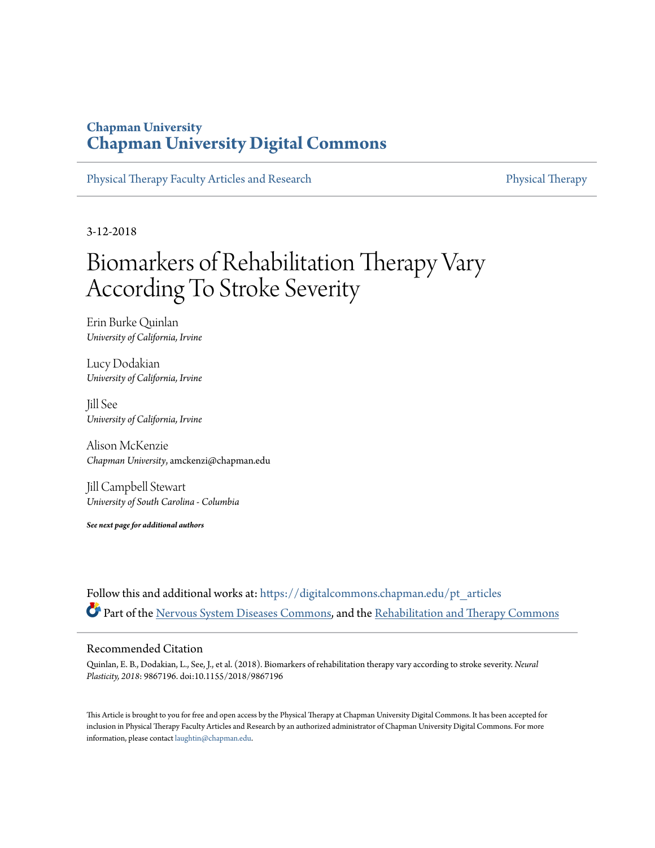### **Chapman University [Chapman University Digital Commons](https://digitalcommons.chapman.edu?utm_source=digitalcommons.chapman.edu%2Fpt_articles%2F65&utm_medium=PDF&utm_campaign=PDFCoverPages)**

[Physical Therapy Faculty Articles and Research](https://digitalcommons.chapman.edu/pt_articles?utm_source=digitalcommons.chapman.edu%2Fpt_articles%2F65&utm_medium=PDF&utm_campaign=PDFCoverPages) [Physical Therapy](https://digitalcommons.chapman.edu/physicaltherapy?utm_source=digitalcommons.chapman.edu%2Fpt_articles%2F65&utm_medium=PDF&utm_campaign=PDFCoverPages)

3-12-2018

# Biomarkers of Rehabilitation Therapy Vary According To Stroke Severity

Erin Burke Quinlan *University of California, Irvine*

Lucy Dodakian *University of California, Irvine*

Jill See *University of California, Irvine*

Alison McKenzie *Chapman University*, amckenzi@chapman.edu

Jill Campbell Stewart *University of South Carolina - Columbia*

*See next page for additional authors*

Follow this and additional works at: [https://digitalcommons.chapman.edu/pt\\_articles](https://digitalcommons.chapman.edu/pt_articles?utm_source=digitalcommons.chapman.edu%2Fpt_articles%2F65&utm_medium=PDF&utm_campaign=PDFCoverPages) Part of the [Nervous System Diseases Commons,](http://network.bepress.com/hgg/discipline/928?utm_source=digitalcommons.chapman.edu%2Fpt_articles%2F65&utm_medium=PDF&utm_campaign=PDFCoverPages) and the [Rehabilitation and Therapy Commons](http://network.bepress.com/hgg/discipline/749?utm_source=digitalcommons.chapman.edu%2Fpt_articles%2F65&utm_medium=PDF&utm_campaign=PDFCoverPages)

#### Recommended Citation

Quinlan, E. B., Dodakian, L., See, J., et al. (2018). Biomarkers of rehabilitation therapy vary according to stroke severity. *Neural Plasticity, 2018*: 9867196. doi:10.1155/2018/9867196

This Article is brought to you for free and open access by the Physical Therapy at Chapman University Digital Commons. It has been accepted for inclusion in Physical Therapy Faculty Articles and Research by an authorized administrator of Chapman University Digital Commons. For more information, please contact [laughtin@chapman.edu](mailto:laughtin@chapman.edu).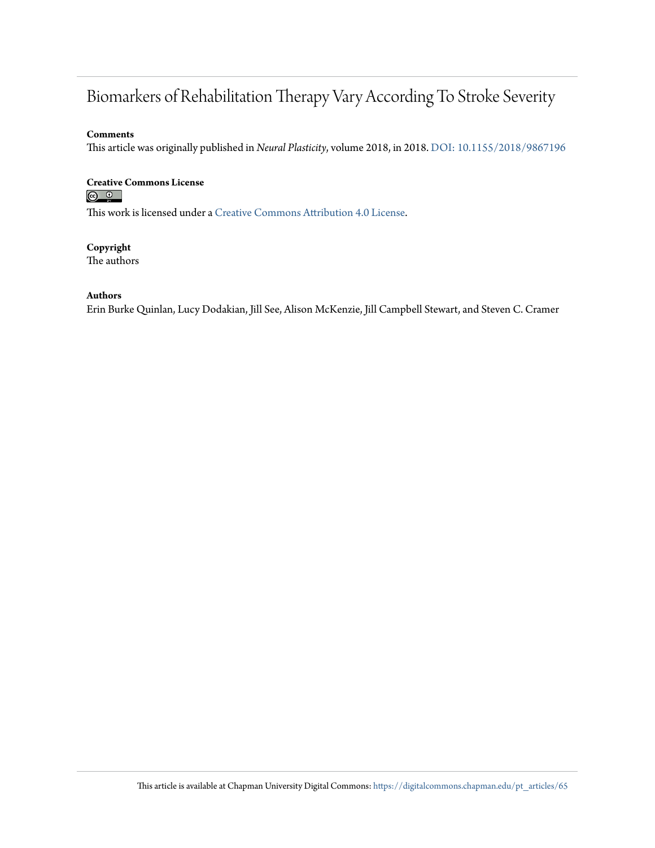## Biomarkers of Rehabilitation Therapy Vary According To Stroke Severity

#### **Comments**

This article was originally published in *Neural Plasticity*, volume 2018, in 2018. [DOI: 10.1155/2018/9867196](https://doi.org/10.1155/2018/9867196)

#### **Creative Commons License**  $\circ$   $\circ$

This work is licensed under a [Creative Commons Attribution 4.0 License.](https://creativecommons.org/licenses/by/4.0/)

#### **Copyright**

The authors

#### **Authors**

Erin Burke Quinlan, Lucy Dodakian, Jill See, Alison McKenzie, Jill Campbell Stewart, and Steven C. Cramer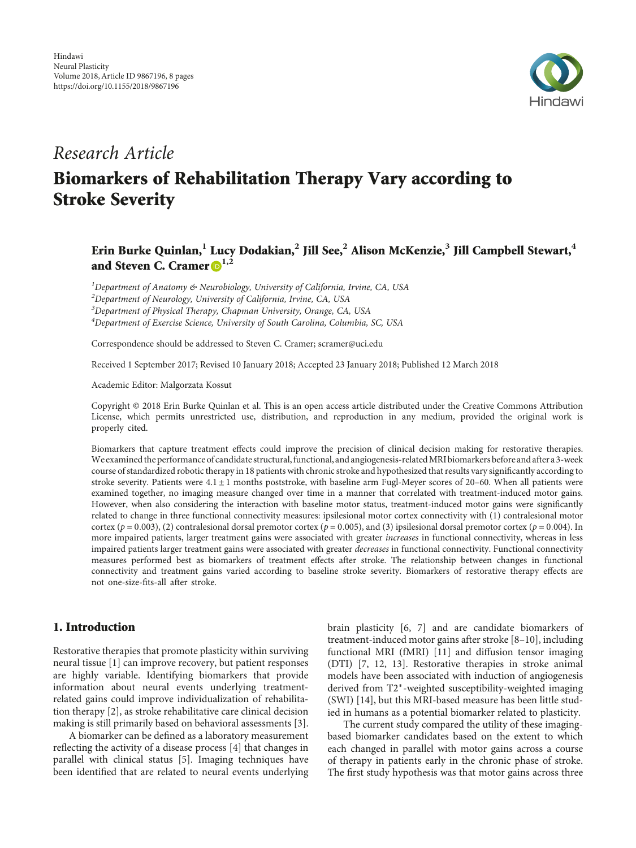

### Research Article

# **Biomarkers of Rehabilitation Therapy Vary according to Stroke Severity**

#### **Erin Burke Quinlan,<sup>1</sup> Lucy Dodakian,<sup>2</sup> Jill See,<sup>2</sup> Alison McKenzie,<sup>3</sup> Jill Campbell Stewart,<sup>4</sup> and Steven C. Cramer 1,2**

<sup>1</sup>Department of Anatomy & Neurobiology, University of California, Irvine, CA, USA

 $^{2}$ Department of Neurology, University of California, Irvine, CA, USA

<sup>3</sup>Department of Physical Therapy, Chapman University, Orange, CA, USA

<sup>4</sup>Department of Exercise Science, University of South Carolina, Columbia, SC, USA

Correspondence should be addressed to Steven C. Cramer; scramer@uci.edu

Received 1 September 2017; Revised 10 January 2018; Accepted 23 January 2018; Published 12 March 2018

Academic Editor: Malgorzata Kossut

Copyright © 2018 Erin Burke Quinlan et al. This is an open access article distributed under the Creative Commons Attribution License, which permits unrestricted use, distribution, and reproduction in any medium, provided the original work is properly cited.

Biomarkers that capture treatment effects could improve the precision of clinical decision making for restorative therapies. We examined the performance of candidate structural, functional, and angiogenesis-related MRI biomarkers before and after a 3-week course of standardized robotic therapy in 18 patients with chronic stroke and hypothesized that results vary significantly according to stroke severity. Patients were 4.1 ± 1 months poststroke, with baseline arm Fugl-Meyer scores of 20–60. When all patients were examined together, no imaging measure changed over time in a manner that correlated with treatment-induced motor gains. However, when also considering the interaction with baseline motor status, treatment-induced motor gains were significantly related to change in three functional connectivity measures: ipsilesional motor cortex connectivity with (1) contralesional motor cortex ( $p = 0.003$ ), (2) contralesional dorsal premotor cortex ( $p = 0.005$ ), and (3) ipsilesional dorsal premotor cortex ( $p = 0.004$ ). In more impaired patients, larger treatment gains were associated with greater increases in functional connectivity, whereas in less impaired patients larger treatment gains were associated with greater decreases in functional connectivity. Functional connectivity measures performed best as biomarkers of treatment effects after stroke. The relationship between changes in functional connectivity and treatment gains varied according to baseline stroke severity. Biomarkers of restorative therapy effects are not one-size-fits-all after stroke.

#### **1. Introduction**

Restorative therapies that promote plasticity within surviving neural tissue [[1](#page-8-0)] can improve recovery, but patient responses are highly variable. Identifying biomarkers that provide information about neural events underlying treatmentrelated gains could improve individualization of rehabilitation therapy [[2](#page-8-0)], as stroke rehabilitative care clinical decision making is still primarily based on behavioral assessments [[3](#page-8-0)].

A biomarker can be defined as a laboratory measurement reflecting the activity of a disease process [[4](#page-8-0)] that changes in parallel with clinical status [\[5](#page-8-0)]. Imaging techniques have been identified that are related to neural events underlying brain plasticity [[6, 7\]](#page-8-0) and are candidate biomarkers of treatment-induced motor gains after stroke [\[8](#page-8-0)–[10\]](#page-8-0), including functional MRI (fMRI) [\[11\]](#page-8-0) and diffusion tensor imaging (DTI) [\[7, 12, 13](#page-8-0)]. Restorative therapies in stroke animal models have been associated with induction of angiogenesis derived from T2<sup>∗</sup>-weighted susceptibility-weighted imaging (SWI) [\[14](#page-8-0)], but this MRI-based measure has been little studied in humans as a potential biomarker related to plasticity.

The current study compared the utility of these imagingbased biomarker candidates based on the extent to which each changed in parallel with motor gains across a course of therapy in patients early in the chronic phase of stroke. The first study hypothesis was that motor gains across three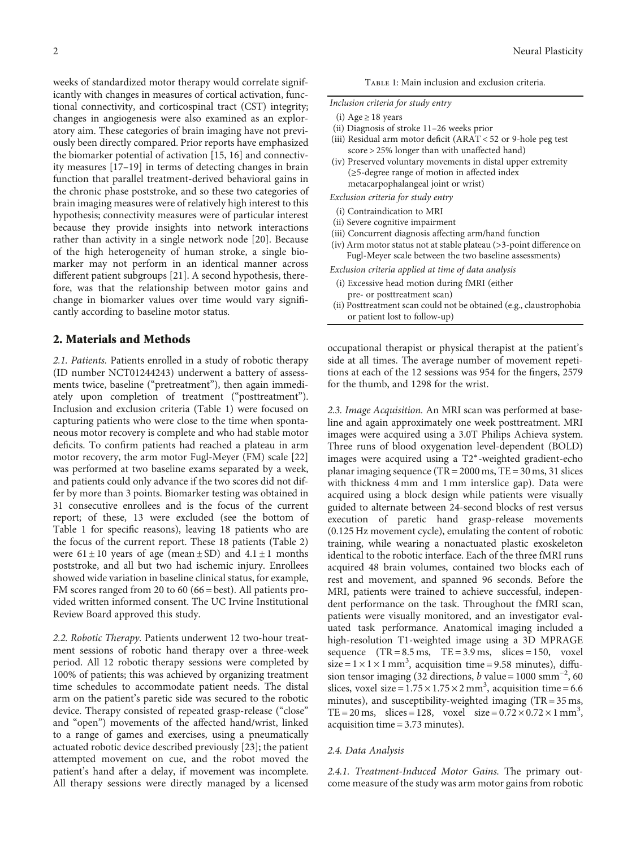weeks of standardized motor therapy would correlate significantly with changes in measures of cortical activation, functional connectivity, and corticospinal tract (CST) integrity; changes in angiogenesis were also examined as an exploratory aim. These categories of brain imaging have not previously been directly compared. Prior reports have emphasized the biomarker potential of activation [[15](#page-8-0), [16\]](#page-8-0) and connectivity measures [[17](#page-8-0)–[19\]](#page-8-0) in terms of detecting changes in brain function that parallel treatment-derived behavioral gains in the chronic phase poststroke, and so these two categories of brain imaging measures were of relatively high interest to this hypothesis; connectivity measures were of particular interest because they provide insights into network interactions rather than activity in a single network node [[20](#page-8-0)]. Because of the high heterogeneity of human stroke, a single biomarker may not perform in an identical manner across different patient subgroups [\[21\]](#page-8-0). A second hypothesis, therefore, was that the relationship between motor gains and change in biomarker values over time would vary significantly according to baseline motor status.

#### **2. Materials and Methods**

2.1. Patients. Patients enrolled in a study of robotic therapy (ID number [NCT01244243\)](https://clinicaltrials.gov/ct2/show/NCT01244243) underwent a battery of assessments twice, baseline ("pretreatment"), then again immediately upon completion of treatment ("posttreatment"). Inclusion and exclusion criteria (Table 1) were focused on capturing patients who were close to the time when spontaneous motor recovery is complete and who had stable motor deficits. To confirm patients had reached a plateau in arm motor recovery, the arm motor Fugl-Meyer (FM) scale [[22\]](#page-8-0) was performed at two baseline exams separated by a week, and patients could only advance if the two scores did not differ by more than 3 points. Biomarker testing was obtained in 31 consecutive enrollees and is the focus of the current report; of these, 13 were excluded (see the bottom of Table 1 for specific reasons), leaving 18 patients who are the focus of the current report. These 18 patients (Table [2\)](#page-4-0) were  $61 \pm 10$  years of age (mean  $\pm$  SD) and  $4.1 \pm 1$  months poststroke, and all but two had ischemic injury. Enrollees showed wide variation in baseline clinical status, for example, FM scores ranged from 20 to 60 (66 = best). All patients provided written informed consent. The UC Irvine Institutional Review Board approved this study.

2.2. Robotic Therapy. Patients underwent 12 two-hour treatment sessions of robotic hand therapy over a three-week period. All 12 robotic therapy sessions were completed by 100% of patients; this was achieved by organizing treatment time schedules to accommodate patient needs. The distal arm on the patient's paretic side was secured to the robotic device. Therapy consisted of repeated grasp-release ("close" and "open") movements of the affected hand/wrist, linked to a range of games and exercises, using a pneumatically actuated robotic device described previously [[23](#page-8-0)]; the patient attempted movement on cue, and the robot moved the patient's hand after a delay, if movement was incomplete. All therapy sessions were directly managed by a licensed

TABLE 1: Main inclusion and exclusion criteria.

#### Inclusion criteria for study entry

- (i) Age  $\geq$  18 years
- (ii) Diagnosis of stroke 11–26 weeks prior
- (iii) Residual arm motor deficit (ARAT < 52 or 9-hole peg test score > 25% longer than with unaffected hand)
- (iv) Preserved voluntary movements in distal upper extremity (≥5-degree range of motion in affected index metacarpophalangeal joint or wrist)

Exclusion criteria for study entry

- (i) Contraindication to MRI
- (ii) Severe cognitive impairment
- (iii) Concurrent diagnosis affecting arm/hand function
- (iv) Arm motor status not at stable plateau (>3-point difference on Fugl-Meyer scale between the two baseline assessments)

Exclusion criteria applied at time of data analysis

- (i) Excessive head motion during fMRI (either pre- or posttreatment scan)
- (ii) Posttreatment scan could not be obtained (e.g., claustrophobia or patient lost to follow-up)

occupational therapist or physical therapist at the patient's side at all times. The average number of movement repetitions at each of the 12 sessions was 954 for the fingers, 2579 for the thumb, and 1298 for the wrist.

2.3. Image Acquisition. An MRI scan was performed at baseline and again approximately one week posttreatment. MRI images were acquired using a 3.0T Philips Achieva system. Three runs of blood oxygenation level-dependent (BOLD) images were acquired using a T2<sup>∗</sup>-weighted gradient-echo planar imaging sequence (TR = 2000 ms, TE = 30 ms, 31 slices with thickness 4 mm and 1 mm interslice gap). Data were acquired using a block design while patients were visually guided to alternate between 24-second blocks of rest versus execution of paretic hand grasp-release movements (0.125 Hz movement cycle), emulating the content of robotic training, while wearing a nonactuated plastic exoskeleton identical to the robotic interface. Each of the three fMRI runs acquired 48 brain volumes, contained two blocks each of rest and movement, and spanned 96 seconds. Before the MRI, patients were trained to achieve successful, independent performance on the task. Throughout the fMRI scan, patients were visually monitored, and an investigator evaluated task performance. Anatomical imaging included a high-resolution T1-weighted image using a 3D MPRAGE sequence  $(TR = 8.5 \text{ ms}, TE = 3.9 \text{ ms}, \text{ slices} = 150, \text{voxel}$  $size = 1 \times 1 \times 1$  mm<sup>3</sup>, acquisition time = 9.58 minutes), diffusion tensor imaging (32 directions, *b* value =  $1000 \text{ smm}^{-2}$ , 60 slices, voxel size =  $1.75 \times 1.75 \times 2$  mm<sup>3</sup>, acquisition time = 6.6 minutes), and susceptibility-weighted imaging (TR = 35 ms, TE = 20 ms, slices = 128, voxel size =  $0.72 \times 0.72 \times 1$  mm<sup>3</sup>, acquisition time = 3.73 minutes).

#### 2.4. Data Analysis

2.4.1. Treatment-Induced Motor Gains. The primary outcome measure of the study was arm motor gains from robotic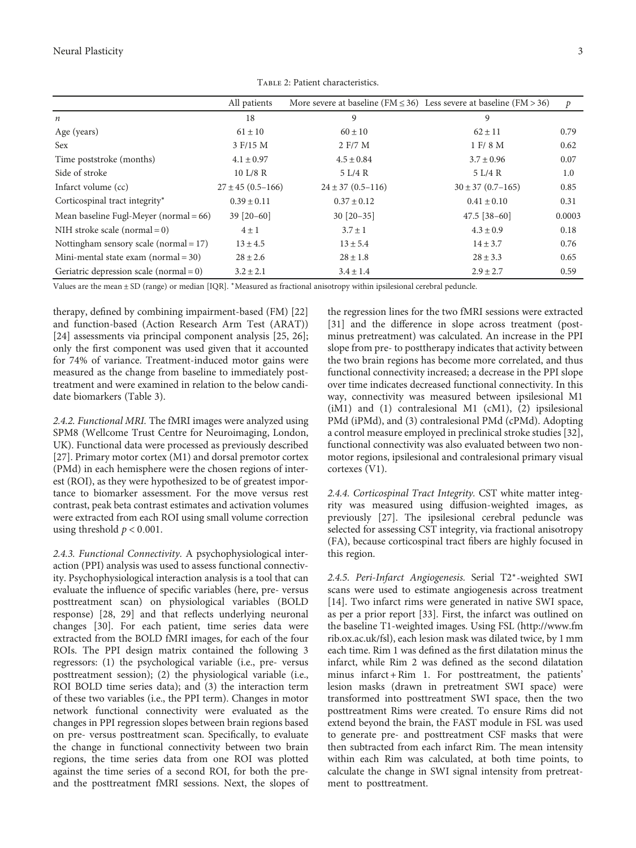<span id="page-4-0"></span>

|                                            | All patients            | More severe at baseline ( $FM \leq 36$ ) Less severe at baseline ( $FM > 36$ ) |                         | $\mathcal{P}$ |
|--------------------------------------------|-------------------------|--------------------------------------------------------------------------------|-------------------------|---------------|
| $\boldsymbol{n}$                           | 18                      | 9                                                                              | 9                       |               |
| Age (years)                                | $61 \pm 10$             | $60 \pm 10$                                                                    | $62 \pm 11$             | 0.79          |
| <b>Sex</b>                                 | 3 F/15 M                | 2 F/7 M                                                                        | 1 F/ 8 M                | 0.62          |
| Time poststroke (months)                   | $4.1 \pm 0.97$          | $4.5 \pm 0.84$                                                                 | $3.7 \pm 0.96$          | 0.07          |
| Side of stroke                             | 10 L/8 R                | 5 L/4 R                                                                        | 5 L/4 R                 | 1.0           |
| Infarct volume (cc)                        | $27 \pm 45 (0.5 - 166)$ | $24 \pm 37(0.5 - 116)$                                                         | $30 \pm 37 (0.7 - 165)$ | 0.85          |
| Corticospinal tract integrity*             | $0.39 \pm 0.11$         | $0.37 \pm 0.12$                                                                | $0.41 \pm 0.10$         | 0.31          |
| Mean baseline Fugl-Meyer (normal = 66)     | $39$ [20-60]            | $30$ [20-35]                                                                   | $47.5$ [38-60]          | 0.0003        |
| NIH stroke scale (normal = $0$ )           | $4 \pm 1$               | $3.7 \pm 1$                                                                    | $4.3 \pm 0.9$           | 0.18          |
| Nottingham sensory scale (normal = 17)     | $13 \pm 4.5$            | $13 \pm 5.4$                                                                   | $14 \pm 3.7$            | 0.76          |
| Mini-mental state exam $(normal = 30)$     | $28 \pm 2.6$            | $28 \pm 1.8$                                                                   | $28 \pm 3.3$            |               |
| Geriatric depression scale (normal = $0$ ) | $3.2 \pm 2.1$           | $3.4 \pm 1.4$                                                                  | $2.9 \pm 2.7$           | 0.59          |

Table 2: Patient characteristics.

Values are the mean ± SD (range) or median [IQR]. <sup>∗</sup>Measured as fractional anisotropy within ipsilesional cerebral peduncle.

therapy, defined by combining impairment-based (FM) [[22\]](#page-8-0) and function-based (Action Research Arm Test (ARAT)) [\[24](#page-8-0)] assessments via principal component analysis [[25](#page-9-0), [26](#page-9-0)]; only the first component was used given that it accounted for 74% of variance. Treatment-induced motor gains were measured as the change from baseline to immediately posttreatment and were examined in relation to the below candidate biomarkers (Table [3](#page-5-0)).

2.4.2. Functional MRI. The fMRI images were analyzed using SPM8 (Wellcome Trust Centre for Neuroimaging, London, UK). Functional data were processed as previously described [\[27](#page-9-0)]. Primary motor cortex (M1) and dorsal premotor cortex (PMd) in each hemisphere were the chosen regions of interest (ROI), as they were hypothesized to be of greatest importance to biomarker assessment. For the move versus rest contrast, peak beta contrast estimates and activation volumes were extracted from each ROI using small volume correction using threshold  $p < 0.001$ .

2.4.3. Functional Connectivity. A psychophysiological interaction (PPI) analysis was used to assess functional connectivity. Psychophysiological interaction analysis is a tool that can evaluate the influence of specific variables (here, pre- versus posttreatment scan) on physiological variables (BOLD response) [[28, 29\]](#page-9-0) and that reflects underlying neuronal changes [[30](#page-9-0)]. For each patient, time series data were extracted from the BOLD fMRI images, for each of the four ROIs. The PPI design matrix contained the following 3 regressors: (1) the psychological variable (i.e., pre- versus posttreatment session); (2) the physiological variable (i.e., ROI BOLD time series data); and (3) the interaction term of these two variables (i.e., the PPI term). Changes in motor network functional connectivity were evaluated as the changes in PPI regression slopes between brain regions based on pre- versus posttreatment scan. Specifically, to evaluate the change in functional connectivity between two brain regions, the time series data from one ROI was plotted against the time series of a second ROI, for both the preand the posttreatment fMRI sessions. Next, the slopes of the regression lines for the two fMRI sessions were extracted [\[31\]](#page-9-0) and the difference in slope across treatment (postminus pretreatment) was calculated. An increase in the PPI slope from pre- to posttherapy indicates that activity between the two brain regions has become more correlated, and thus functional connectivity increased; a decrease in the PPI slope over time indicates decreased functional connectivity. In this way, connectivity was measured between ipsilesional M1 (iM1) and (1) contralesional M1 (cM1), (2) ipsilesional PMd (iPMd), and (3) contralesional PMd (cPMd). Adopting a control measure employed in preclinical stroke studies [[32](#page-9-0)], functional connectivity was also evaluated between two nonmotor regions, ipsilesional and contralesional primary visual cortexes (V1).

2.4.4. Corticospinal Tract Integrity. CST white matter integrity was measured using diffusion-weighted images, as previously [\[27\]](#page-9-0). The ipsilesional cerebral peduncle was selected for assessing CST integrity, via fractional anisotropy (FA), because corticospinal tract fibers are highly focused in this region.

2.4.5. Peri-Infarct Angiogenesis. Serial T2<sup>∗</sup>-weighted SWI scans were used to estimate angiogenesis across treatment [\[14\]](#page-8-0). Two infarct rims were generated in native SWI space, as per a prior report [\[33](#page-9-0)]. First, the infarct was outlined on the baseline T1-weighted images. Using FSL [\(http://www.fm](http://www.fmrib.ox.ac.uk/fsl) [rib.ox.ac.uk/fsl](http://www.fmrib.ox.ac.uk/fsl)), each lesion mask was dilated twice, by 1 mm each time. Rim 1 was defined as the first dilatation minus the infarct, while Rim 2 was defined as the second dilatation minus infarct + Rim 1. For posttreatment, the patients' lesion masks (drawn in pretreatment SWI space) were transformed into posttreatment SWI space, then the two posttreatment Rims were created. To ensure Rims did not extend beyond the brain, the FAST module in FSL was used to generate pre- and posttreatment CSF masks that were then subtracted from each infarct Rim. The mean intensity within each Rim was calculated, at both time points, to calculate the change in SWI signal intensity from pretreatment to posttreatment.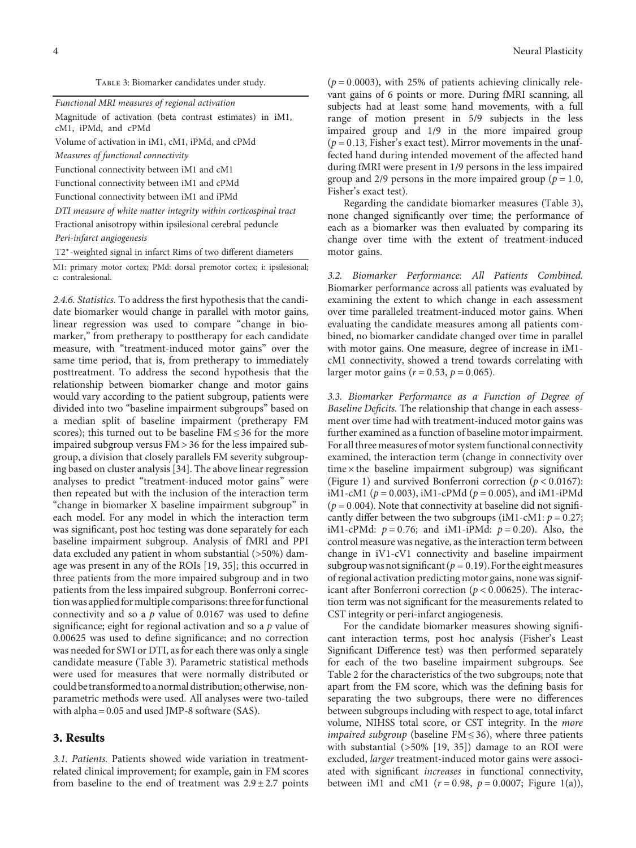| TABLE 3: Biomarker candidates under study. |  |  |
|--------------------------------------------|--|--|
|                                            |  |  |

<span id="page-5-0"></span>

| Functional MRI measures of regional activation                                   |  |  |  |  |
|----------------------------------------------------------------------------------|--|--|--|--|
| Magnitude of activation (beta contrast estimates) in iM1,<br>cM1, iPMd, and cPMd |  |  |  |  |
| Volume of activation in iM1, cM1, iPMd, and cPMd                                 |  |  |  |  |
| Measures of functional connectivity                                              |  |  |  |  |
| Functional connectivity between iM1 and cM1                                      |  |  |  |  |
| Functional connectivity between iM1 and cPMd                                     |  |  |  |  |
| Functional connectivity between iM1 and iPMd                                     |  |  |  |  |
| DTI measure of white matter integrity within corticospinal tract                 |  |  |  |  |
| Fractional anisotropy within ipsilesional cerebral peduncle                      |  |  |  |  |
| Peri-infarct angiogenesis                                                        |  |  |  |  |
| T2*-weighted signal in infarct Rims of two different diameters                   |  |  |  |  |

M1: primary motor cortex; PMd: dorsal premotor cortex; i: ipsilesional; c: contralesional.

2.4.6. Statistics. To address the first hypothesis that the candidate biomarker would change in parallel with motor gains, linear regression was used to compare "change in biomarker," from pretherapy to posttherapy for each candidate measure, with "treatment-induced motor gains" over the same time period, that is, from pretherapy to immediately posttreatment. To address the second hypothesis that the relationship between biomarker change and motor gains would vary according to the patient subgroup, patients were divided into two "baseline impairment subgroups" based on a median split of baseline impairment (pretherapy FM scores); this turned out to be baseline FM ≤ 36 for the more impaired subgroup versus FM > 36 for the less impaired subgroup, a division that closely parallels FM severity subgrouping based on cluster analysis [\[34\]](#page-9-0). The above linear regression analyses to predict "treatment-induced motor gains" were then repeated but with the inclusion of the interaction term "change in biomarker X baseline impairment subgroup" in each model. For any model in which the interaction term was significant, post hoc testing was done separately for each baseline impairment subgroup. Analysis of fMRI and PPI data excluded any patient in whom substantial (>50%) damage was present in any of the ROIs [\[19,](#page-8-0) [35\]](#page-9-0); this occurred in three patients from the more impaired subgroup and in two patients from the less impaired subgroup. Bonferroni correction was applied for multiple comparisons: three for functional connectivity and so a *p* value of 0.0167 was used to define significance; eight for regional activation and so a *p* value of 0.00625 was used to define significance; and no correction was needed for SWI or DTI, as for each there was only a single candidate measure (Table 3). Parametric statistical methods were used for measures that were normally distributed or could be transformed to a normal distribution; otherwise, nonparametric methods were used. All analyses were two-tailed with alpha = 0.05 and used JMP-8 software (SAS).

#### **3. Results**

3.1. Patients. Patients showed wide variation in treatmentrelated clinical improvement; for example, gain in FM scores from baseline to the end of treatment was  $2.9 \pm 2.7$  points  $(p = 0.0003)$ , with 25% of patients achieving clinically relevant gains of 6 points or more. During fMRI scanning, all subjects had at least some hand movements, with a full range of motion present in 5/9 subjects in the less impaired group and 1/9 in the more impaired group  $(p = 0.13$ , Fisher's exact test). Mirror movements in the unaffected hand during intended movement of the affected hand during fMRI were present in 1/9 persons in the less impaired group and  $2/9$  persons in the more impaired group ( $p = 1.0$ , Fisher's exact test).

Regarding the candidate biomarker measures (Table 3), none changed significantly over time; the performance of each as a biomarker was then evaluated by comparing its change over time with the extent of treatment-induced motor gains.

3.2. Biomarker Performance: All Patients Combined. Biomarker performance across all patients was evaluated by examining the extent to which change in each assessment over time paralleled treatment-induced motor gains. When evaluating the candidate measures among all patients combined, no biomarker candidate changed over time in parallel with motor gains. One measure, degree of increase in iM1 cM1 connectivity, showed a trend towards correlating with larger motor gains ( $r = 0.53$ ,  $p = 0.065$ ).

3.3. Biomarker Performance as a Function of Degree of Baseline Deficits. The relationship that change in each assessment over time had with treatment-induced motor gains was further examined as a function of baseline motor impairment. For all three measures of motor system functional connectivity examined, the interaction term (change in connectivity over  $time \times the baseline impairment subgroup) was significant$ (Figure [1](#page-6-0)) and survived Bonferroni correction ( $p < 0.0167$ ): iM1-cM1 ( $p = 0.003$ ), iM1-cPMd ( $p = 0.005$ ), and iM1-iPMd  $(p = 0.004)$ . Note that connectivity at baseline did not significantly differ between the two subgroups (iM1-cM1:  $p = 0.27$ ; iM1-cPMd:  $p = 0.76$ ; and iM1-iPMd:  $p = 0.20$ ). Also, the control measure was negative, as the interaction term between change in iV1-cV1 connectivity and baseline impairment subgroup was not significant ( $p = 0.19$ ). For the eight measures of regional activation predicting motor gains, none was significant after Bonferroni correction ( $p < 0.00625$ ). The interaction term was not significant for the measurements related to CST integrity or peri-infarct angiogenesis.

For the candidate biomarker measures showing significant interaction terms, post hoc analysis (Fisher's Least Significant Difference test) was then performed separately for each of the two baseline impairment subgroups. See Table [2](#page-4-0) for the characteristics of the two subgroups; note that apart from the FM score, which was the defining basis for separating the two subgroups, there were no differences between subgroups including with respect to age, total infarct volume, NIHSS total score, or CST integrity. In the more *impaired subgroup* (baseline FM  $\leq$  36), where three patients with substantial (>50% [\[19,](#page-8-0) [35\]](#page-9-0)) damage to an ROI were excluded, larger treatment-induced motor gains were associated with significant increases in functional connectivity, between iM1 and cM1 ( $r = 0.98$ ,  $p = 0.0007$ ; Figure [1\(a\)](#page-6-0)),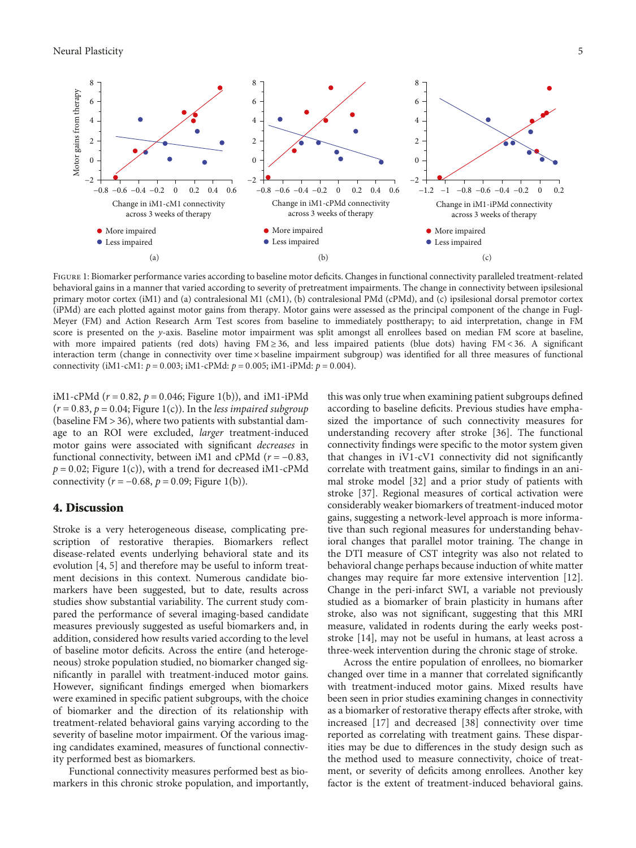<span id="page-6-0"></span>

FIGURE 1: Biomarker performance varies according to baseline motor deficits. Changes in functional connectivity paralleled treatment-related behavioral gains in a manner that varied according to severity of pretreatment impairments. The change in connectivity between ipsilesional primary motor cortex (iM1) and (a) contralesional M1 (cM1), (b) contralesional PMd (cPMd), and (c) ipsilesional dorsal premotor cortex (iPMd) are each plotted against motor gains from therapy. Motor gains were assessed as the principal component of the change in Fugl-Meyer (FM) and Action Research Arm Test scores from baseline to immediately posttherapy; to aid interpretation, change in FM score is presented on the y-axis. Baseline motor impairment was split amongst all enrollees based on median FM score at baseline, with more impaired patients (red dots) having FM ≥ 36, and less impaired patients (blue dots) having FM < 36. A significant interaction term (change in connectivity over time × baseline impairment subgroup) was identified for all three measures of functional connectivity (iM1-cM1:  $p = 0.003$ ; iM1-cPMd:  $p = 0.005$ ; iM1-iPMd:  $p = 0.004$ ).

iM1-cPMd ( $r = 0.82$ ,  $p = 0.046$ ; Figure 1(b)), and iM1-iPMd  $(r = 0.83, p = 0.04;$  Figure 1(c)). In the *less impaired subgroup* (baseline FM > 36), where two patients with substantial damage to an ROI were excluded, larger treatment-induced motor gains were associated with significant decreases in functional connectivity, between iM1 and cPMd ( $r = -0.83$ ,  $p = 0.02$ ; Figure 1(c)), with a trend for decreased iM1-cPMd connectivity  $(r = -0.68, p = 0.09;$  Figure 1(b)).

#### **4. Discussion**

Stroke is a very heterogeneous disease, complicating prescription of restorative therapies. Biomarkers reflect disease-related events underlying behavioral state and its evolution [[4](#page-8-0), [5\]](#page-8-0) and therefore may be useful to inform treatment decisions in this context. Numerous candidate biomarkers have been suggested, but to date, results across studies show substantial variability. The current study compared the performance of several imaging-based candidate measures previously suggested as useful biomarkers and, in addition, considered how results varied according to the level of baseline motor deficits. Across the entire (and heterogeneous) stroke population studied, no biomarker changed significantly in parallel with treatment-induced motor gains. However, significant findings emerged when biomarkers were examined in specific patient subgroups, with the choice of biomarker and the direction of its relationship with treatment-related behavioral gains varying according to the severity of baseline motor impairment. Of the various imaging candidates examined, measures of functional connectivity performed best as biomarkers.

Functional connectivity measures performed best as biomarkers in this chronic stroke population, and importantly,

this was only true when examining patient subgroups defined according to baseline deficits. Previous studies have emphasized the importance of such connectivity measures for understanding recovery after stroke [[36\]](#page-9-0). The functional connectivity findings were specific to the motor system given that changes in iV1-cV1 connectivity did not significantly correlate with treatment gains, similar to findings in an animal stroke model [\[32\]](#page-9-0) and a prior study of patients with stroke [\[37\]](#page-9-0). Regional measures of cortical activation were considerably weaker biomarkers of treatment-induced motor gains, suggesting a network-level approach is more informative than such regional measures for understanding behavioral changes that parallel motor training. The change in the DTI measure of CST integrity was also not related to behavioral change perhaps because induction of white matter changes may require far more extensive intervention [[12](#page-8-0)]. Change in the peri-infarct SWI, a variable not previously studied as a biomarker of brain plasticity in humans after stroke, also was not significant, suggesting that this MRI measure, validated in rodents during the early weeks poststroke [\[14\]](#page-8-0), may not be useful in humans, at least across a three-week intervention during the chronic stage of stroke.

Across the entire population of enrollees, no biomarker changed over time in a manner that correlated significantly with treatment-induced motor gains. Mixed results have been seen in prior studies examining changes in connectivity as a biomarker of restorative therapy effects after stroke, with increased [[17](#page-8-0)] and decreased [[38](#page-9-0)] connectivity over time reported as correlating with treatment gains. These disparities may be due to differences in the study design such as the method used to measure connectivity, choice of treatment, or severity of deficits among enrollees. Another key factor is the extent of treatment-induced behavioral gains.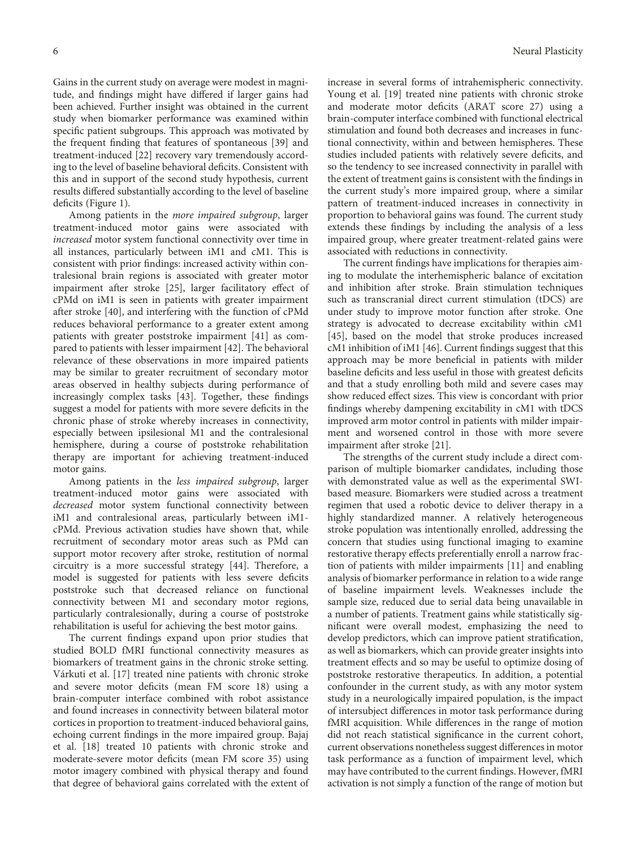Gains in the current study on average were modest in magnitude, and findings might have differed if larger gains had been achieved. Further insight was obtained in the current study when biomarker performance was examined within specific patient subgroups. This approach was motivated by the frequent finding that features of spontaneous [\[39\]](#page-9-0) and treatment-induced [[22](#page-8-0)] recovery vary tremendously according to the level of baseline behavioral deficits. Consistent with this and in support of the second study hypothesis, current results differed substantially according to the level of baseline deficits (Figure [1](#page-6-0)).

Among patients in the more impaired subgroup, larger treatment-induced motor gains were associated with increased motor system functional connectivity over time in all instances, particularly between iM1 and cM1. This is consistent with prior findings: increased activity within contralesional brain regions is associated with greater motor impairment after stroke [\[25](#page-9-0)], larger facilitatory effect of cPMd on iM1 is seen in patients with greater impairment after stroke [[40\]](#page-9-0), and interfering with the function of cPMd reduces behavioral performance to a greater extent among patients with greater poststroke impairment [\[41](#page-9-0)] as compared to patients with lesser impairment [[42](#page-9-0)]. The behavioral relevance of these observations in more impaired patients may be similar to greater recruitment of secondary motor areas observed in healthy subjects during performance of increasingly complex tasks [[43](#page-9-0)]. Together, these findings suggest a model for patients with more severe deficits in the chronic phase of stroke whereby increases in connectivity, especially between ipsilesional M1 and the contralesional hemisphere, during a course of poststroke rehabilitation therapy are important for achieving treatment-induced motor gains.

Among patients in the less impaired subgroup, larger treatment-induced motor gains were associated with decreased motor system functional connectivity between iM1 and contralesional areas, particularly between iM1 cPMd. Previous activation studies have shown that, while recruitment of secondary motor areas such as PMd can support motor recovery after stroke, restitution of normal circuitry is a more successful strategy [[44](#page-9-0)]. Therefore, a model is suggested for patients with less severe deficits poststroke such that decreased reliance on functional connectivity between M1 and secondary motor regions, particularly contralesionally, during a course of poststroke rehabilitation is useful for achieving the best motor gains.

The current findings expand upon prior studies that studied BOLD fMRI functional connectivity measures as biomarkers of treatment gains in the chronic stroke setting. Várkuti et al. [[17\]](#page-8-0) treated nine patients with chronic stroke and severe motor deficits (mean FM score 18) using a brain-computer interface combined with robot assistance and found increases in connectivity between bilateral motor cortices in proportion to treatment-induced behavioral gains, echoing current findings in the more impaired group. Bajaj et al. [\[18\]](#page-8-0) treated 10 patients with chronic stroke and moderate-severe motor deficits (mean FM score 35) using motor imagery combined with physical therapy and found that degree of behavioral gains correlated with the extent of

increase in several forms of intrahemispheric connectivity. Young et al. [\[19\]](#page-8-0) treated nine patients with chronic stroke and moderate motor deficits (ARAT score 27) using a brain-computer interface combined with functional electrical stimulation and found both decreases and increases in functional connectivity, within and between hemispheres. These studies included patients with relatively severe deficits, and so the tendency to see increased connectivity in parallel with the extent of treatment gains is consistent with the findings in the current study's more impaired group, where a similar pattern of treatment-induced increases in connectivity in proportion to behavioral gains was found. The current study extends these findings by including the analysis of a less impaired group, where greater treatment-related gains were associated with reductions in connectivity.

The current findings have implications for therapies aiming to modulate the interhemispheric balance of excitation and inhibition after stroke. Brain stimulation techniques such as transcranial direct current stimulation (tDCS) are under study to improve motor function after stroke. One strategy is advocated to decrease excitability within cM1 [\[45\]](#page-9-0), based on the model that stroke produces increased cM1 inhibition of iM1 [[46](#page-9-0)]. Current findings suggest that this approach may be more beneficial in patients with milder baseline deficits and less useful in those with greatest deficits and that a study enrolling both mild and severe cases may show reduced effect sizes. This view is concordant with prior findings whereby dampening excitability in cM1 with tDCS improved arm motor control in patients with milder impairment and worsened control in those with more severe impairment after stroke [\[21\]](#page-8-0).

The strengths of the current study include a direct comparison of multiple biomarker candidates, including those with demonstrated value as well as the experimental SWIbased measure. Biomarkers were studied across a treatment regimen that used a robotic device to deliver therapy in a highly standardized manner. A relatively heterogeneous stroke population was intentionally enrolled, addressing the concern that studies using functional imaging to examine restorative therapy effects preferentially enroll a narrow fraction of patients with milder impairments [[11](#page-8-0)] and enabling analysis of biomarker performance in relation to a wide range of baseline impairment levels. Weaknesses include the sample size, reduced due to serial data being unavailable in a number of patients. Treatment gains while statistically significant were overall modest, emphasizing the need to develop predictors, which can improve patient stratification, as well as biomarkers, which can provide greater insights into treatment effects and so may be useful to optimize dosing of poststroke restorative therapeutics. In addition, a potential confounder in the current study, as with any motor system study in a neurologically impaired population, is the impact of intersubject differences in motor task performance during fMRI acquisition. While differences in the range of motion did not reach statistical significance in the current cohort, current observations nonetheless suggest differences in motor task performance as a function of impairment level, which may have contributed to the current findings. However, fMRI activation is not simply a function of the range of motion but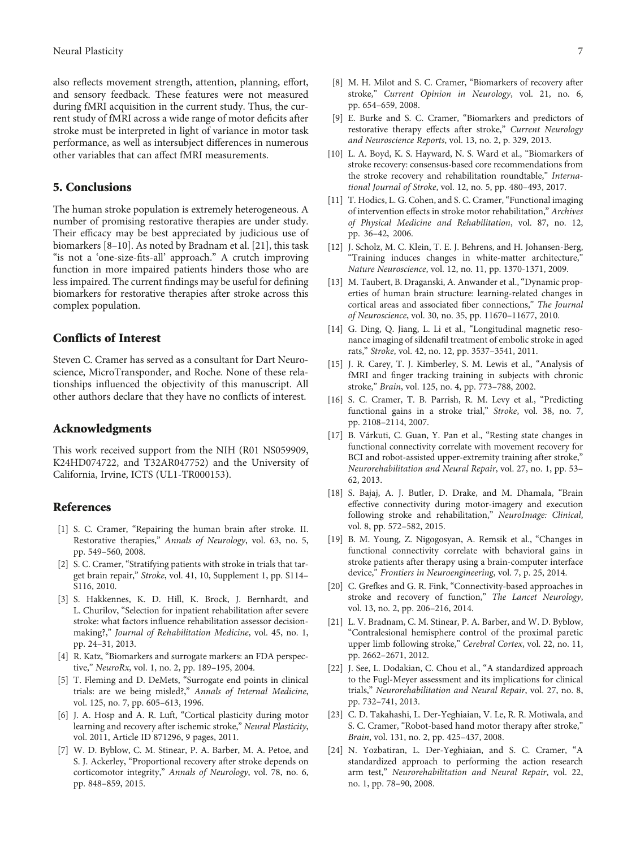<span id="page-8-0"></span>also reflects movement strength, attention, planning, effort, and sensory feedback. These features were not measured during fMRI acquisition in the current study. Thus, the current study of fMRI across a wide range of motor deficits after stroke must be interpreted in light of variance in motor task performance, as well as intersubject differences in numerous other variables that can affect fMRI measurements.

#### **5. Conclusions**

The human stroke population is extremely heterogeneous. A number of promising restorative therapies are under study. Their efficacy may be best appreciated by judicious use of biomarkers [8–10]. As noted by Bradnam et al. [21], this task "is not a 'one-size-fits-all' approach." A crutch improving function in more impaired patients hinders those who are less impaired. The current findings may be useful for defining biomarkers for restorative therapies after stroke across this complex population.

#### **Conflicts of Interest**

Steven C. Cramer has served as a consultant for Dart Neuroscience, MicroTransponder, and Roche. None of these relationships influenced the objectivity of this manuscript. All other authors declare that they have no conflicts of interest.

#### **Acknowledgments**

This work received support from the NIH (R01 NS059909, K24HD074722, and T32AR047752) and the University of California, Irvine, ICTS (UL1-TR000153).

#### **References**

- [1] S. C. Cramer, "Repairing the human brain after stroke. II. Restorative therapies," Annals of Neurology, vol. 63, no. 5, pp. 549–560, 2008.
- [2] S. C. Cramer, "Stratifying patients with stroke in trials that target brain repair," Stroke, vol. 41, 10, Supplement 1, pp. S114– S116, 2010.
- [3] S. Hakkennes, K. D. Hill, K. Brock, J. Bernhardt, and L. Churilov, "Selection for inpatient rehabilitation after severe stroke: what factors influence rehabilitation assessor decisionmaking?," Journal of Rehabilitation Medicine, vol. 45, no. 1, pp. 24–31, 2013.
- [4] R. Katz, "Biomarkers and surrogate markers: an FDA perspective," NeuroRx, vol. 1, no. 2, pp. 189–195, 2004.
- [5] T. Fleming and D. DeMets, "Surrogate end points in clinical trials: are we being misled?," Annals of Internal Medicine, vol. 125, no. 7, pp. 605–613, 1996.
- [6] J. A. Hosp and A. R. Luft, "Cortical plasticity during motor learning and recovery after ischemic stroke," Neural Plasticity, vol. 2011, Article ID 871296, 9 pages, 2011.
- [7] W. D. Byblow, C. M. Stinear, P. A. Barber, M. A. Petoe, and S. J. Ackerley, "Proportional recovery after stroke depends on corticomotor integrity," Annals of Neurology, vol. 78, no. 6, pp. 848–859, 2015.
- [8] M. H. Milot and S. C. Cramer, "Biomarkers of recovery after stroke," Current Opinion in Neurology, vol. 21, no. 6, pp. 654–659, 2008.
- [9] E. Burke and S. C. Cramer, "Biomarkers and predictors of restorative therapy effects after stroke," Current Neurology and Neuroscience Reports, vol. 13, no. 2, p. 329, 2013.
- [10] L. A. Boyd, K. S. Hayward, N. S. Ward et al., "Biomarkers of stroke recovery: consensus-based core recommendations from the stroke recovery and rehabilitation roundtable," International Journal of Stroke, vol. 12, no. 5, pp. 480–493, 2017.
- [11] T. Hodics, L. G. Cohen, and S. C. Cramer, "Functional imaging of intervention effects in stroke motor rehabilitation," Archives of Physical Medicine and Rehabilitation, vol. 87, no. 12, pp. 36–42, 2006.
- [12] J. Scholz, M. C. Klein, T. E. J. Behrens, and H. Johansen-Berg, "Training induces changes in white-matter architecture," Nature Neuroscience, vol. 12, no. 11, pp. 1370-1371, 2009.
- [13] M. Taubert, B. Draganski, A. Anwander et al., "Dynamic properties of human brain structure: learning-related changes in cortical areas and associated fiber connections," The Journal of Neuroscience, vol. 30, no. 35, pp. 11670–11677, 2010.
- [14] G. Ding, Q. Jiang, L. Li et al., "Longitudinal magnetic resonance imaging of sildenafil treatment of embolic stroke in aged rats," Stroke, vol. 42, no. 12, pp. 3537–3541, 2011.
- [15] J. R. Carey, T. J. Kimberley, S. M. Lewis et al., "Analysis of fMRI and finger tracking training in subjects with chronic stroke," Brain, vol. 125, no. 4, pp. 773–788, 2002.
- [16] S. C. Cramer, T. B. Parrish, R. M. Levy et al., "Predicting functional gains in a stroke trial," Stroke, vol. 38, no. 7, pp. 2108–2114, 2007.
- [17] B. Várkuti, C. Guan, Y. Pan et al., "Resting state changes in functional connectivity correlate with movement recovery for BCI and robot-assisted upper-extremity training after stroke," Neurorehabilitation and Neural Repair, vol. 27, no. 1, pp. 53– 62, 2013.
- [18] S. Bajaj, A. J. Butler, D. Drake, and M. Dhamala, "Brain effective connectivity during motor-imagery and execution following stroke and rehabilitation," NeuroImage: Clinical, vol. 8, pp. 572–582, 2015.
- [19] B. M. Young, Z. Nigogosyan, A. Remsik et al., "Changes in functional connectivity correlate with behavioral gains in stroke patients after therapy using a brain-computer interface device," Frontiers in Neuroengineering, vol. 7, p. 25, 2014.
- [20] C. Grefkes and G. R. Fink, "Connectivity-based approaches in stroke and recovery of function," The Lancet Neurology, vol. 13, no. 2, pp. 206–216, 2014.
- [21] L. V. Bradnam, C. M. Stinear, P. A. Barber, and W. D. Byblow, "Contralesional hemisphere control of the proximal paretic upper limb following stroke," Cerebral Cortex, vol. 22, no. 11, pp. 2662–2671, 2012.
- [22] J. See, L. Dodakian, C. Chou et al., "A standardized approach to the Fugl-Meyer assessment and its implications for clinical trials," Neurorehabilitation and Neural Repair, vol. 27, no. 8, pp. 732–741, 2013.
- [23] C. D. Takahashi, L. Der-Yeghiaian, V. Le, R. R. Motiwala, and S. C. Cramer, "Robot-based hand motor therapy after stroke," Brain, vol. 131, no. 2, pp. 425–437, 2008.
- [24] N. Yozbatiran, L. Der-Yeghiaian, and S. C. Cramer, "A standardized approach to performing the action research arm test," Neurorehabilitation and Neural Repair, vol. 22, no. 1, pp. 78–90, 2008.